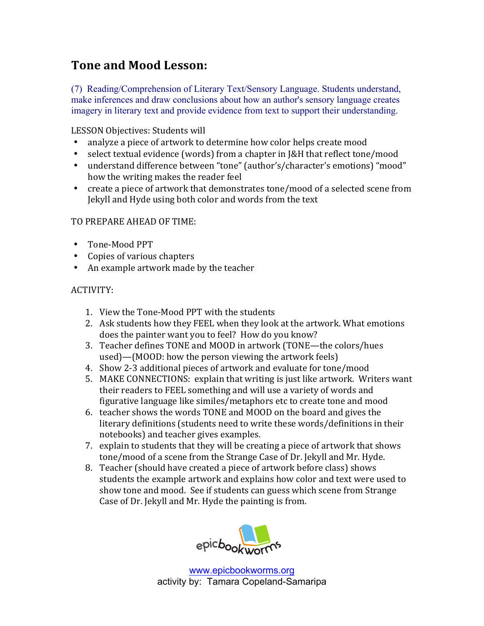## **Tone and Mood Lesson:**

(7) Reading/Comprehension of Literary Text/Sensory Language. Students understand, make inferences and draw conclusions about how an author's sensory language creates imagery in literary text and provide evidence from text to support their understanding.

LESSON Objectives: Students will

- analyze a piece of artwork to determine how color helps create mood
- select textual evidence (words) from a chapter in J&H that reflect tone/mood
- understand difference between "tone" (author's/character's emotions) "mood" how the writing makes the reader feel
- create a piece of artwork that demonstrates tone/mood of a selected scene from Jekyll and Hyde using both color and words from the text

## TO PREPARE AHEAD OF TIME:

- Tone-Mood PPT
- Copies of various chapters
- An example artwork made by the teacher

## ACTIVITY:

- 1. View the Tone-Mood PPT with the students
- 2. Ask students how they FEEL when they look at the artwork. What emotions does the painter want you to feel? How do you know?
- 3. Teacher defines TONE and MOOD in artwork (TONE—the colors/hues used)—(MOOD: how the person viewing the artwork feels)
- 4. Show 2-3 additional pieces of artwork and evaluate for tone/mood
- 5. MAKE CONNECTIONS: explain that writing is just like artwork. Writers want their readers to FEEL something and will use a variety of words and figurative language like similes/metaphors etc to create tone and mood
- 6. teacher shows the words TONE and MOOD on the board and gives the literary definitions (students need to write these words/definitions in their notebooks) and teacher gives examples.
- 7. explain to students that they will be creating a piece of artwork that shows tone/mood of a scene from the Strange Case of Dr. Jekyll and Mr. Hyde.
- 8. Teacher (should have created a piece of artwork before class) shows students the example artwork and explains how color and text were used to show tone and mood. See if students can guess which scene from Strange Case of Dr. Jekyll and Mr. Hyde the painting is from.



www.epicbookworms.org activity by: Tamara Copeland-Samaripa